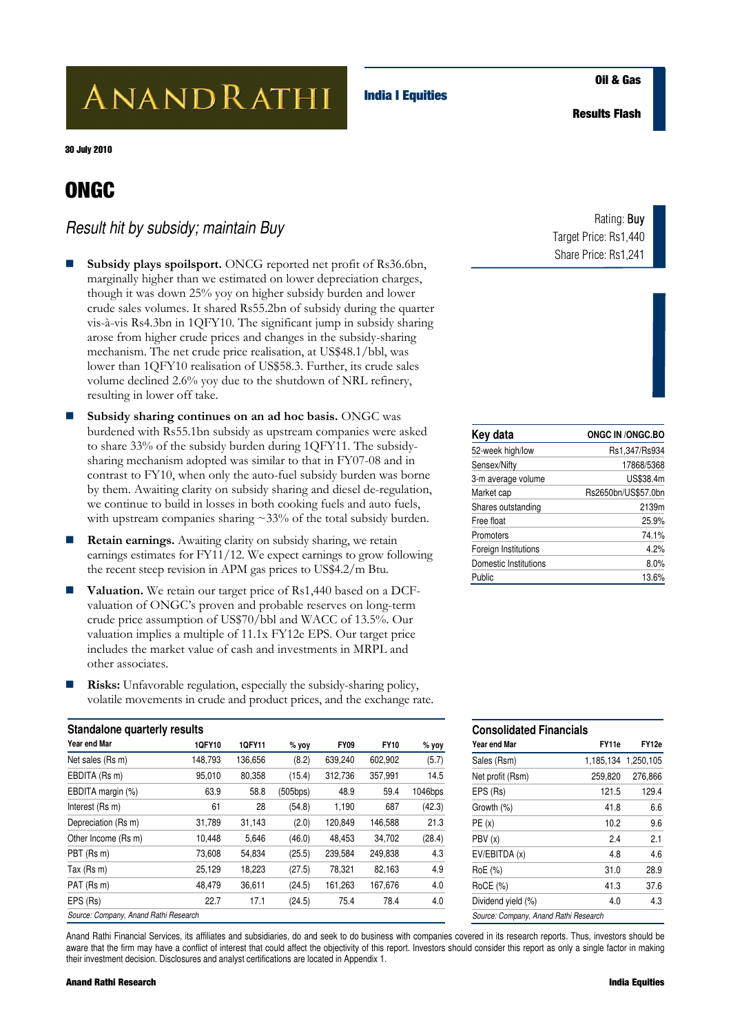# ANANDRATHI

**India I Equities** 

**Results Flash** 

30 July 2010

## **ONGC**

### *Result hit by subsidy; maintain Buy*

- **Subsidy plays spoilsport.** ONCG reported net profit of Rs36.6bn, marginally higher than we estimated on lower depreciation charges, though it was down 25% yoy on higher subsidy burden and lower crude sales volumes. It shared Rs55.2bn of subsidy during the quarter vis-à-vis Rs4.3bn in 1QFY10. The significant jump in subsidy sharing arose from higher crude prices and changes in the subsidy-sharing mechanism. The net crude price realisation, at US\$48.1/bbl, was lower than 1QFY10 realisation of US\$58.3. Further, its crude sales volume declined 2.6% yoy due to the shutdown of NRL refinery, resulting in lower off take.
- **Subsidy sharing continues on an ad hoc basis.** ONGC was burdened with Rs55.1bn subsidy as upstream companies were asked to share 33% of the subsidy burden during 1QFY11. The subsidysharing mechanism adopted was similar to that in FY07-08 and in contrast to FY10, when only the auto-fuel subsidy burden was borne by them. Awaiting clarity on subsidy sharing and diesel de-regulation, we continue to build in losses in both cooking fuels and auto fuels, with upstream companies sharing ~33% of the total subsidy burden.
- **Retain earnings.** Awaiting clarity on subsidy sharing, we retain earnings estimates for FY11/12. We expect earnings to grow following the recent steep revision in APM gas prices to US\$4.2/m Btu.
- **Valuation.** We retain our target price of Rs1,440 based on a DCFvaluation of ONGC's proven and probable reserves on long-term crude price assumption of US\$70/bbl and WACC of 13.5%. Our valuation implies a multiple of 11.1x FY12e EPS. Our target price includes the market value of cash and investments in MRPL and other associates.
- **Risks:** Unfavorable regulation, especially the subsidy-sharing policy, volatile movements in crude and product prices, and the exchange rate.

| Standalone quarterly results          |         |         |          |             |             |         |
|---------------------------------------|---------|---------|----------|-------------|-------------|---------|
| Year end Mar                          | 1QFY10  | 1QFY11  | $%$ yoy  | <b>FY09</b> | <b>FY10</b> | % yoy   |
| Net sales (Rs m)                      | 148,793 | 136.656 | (8.2)    | 639,240     | 602,902     | (5.7)   |
| EBDITA (Rs m)                         | 95,010  | 80,358  | (15.4)   | 312,736     | 357,991     | 14.5    |
| EBDITA margin (%)                     | 63.9    | 58.8    | (505bps) | 48.9        | 59.4        | 1046bps |
| Interest (Rs m)                       | 61      | 28      | (54.8)   | 1,190       | 687         | (42.3)  |
| Depreciation (Rs m)                   | 31,789  | 31,143  | (2.0)    | 120,849     | 146,588     | 21.3    |
| Other Income (Rs m)                   | 10,448  | 5,646   | (46.0)   | 48,453      | 34,702      | (28.4)  |
| PBT (Rs m)                            | 73,608  | 54,834  | (25.5)   | 239,584     | 249,838     | 4.3     |
| Tax (Rs m)                            | 25,129  | 18,223  | (27.5)   | 78,321      | 82,163      | 4.9     |
| PAT (Rs m)                            | 48,479  | 36,611  | (24.5)   | 161,263     | 167,676     | 4.0     |
| EPS (Rs)                              | 22.7    | 17.1    | (24.5)   | 75.4        | 78.4        | 4.0     |
| Source: Company, Anand Rathi Research |         |         |          |             |             |         |

Anand Rathi Financial Services, its affiliates and subsidiaries, do and seek to do business with companies covered in its research reports. Thus, investors should be aware that the firm may have a conflict of interest that could affect the objectivity of this report. Investors should consider this report as only a single factor in making their investment decision. Disclosures and analyst certifications are located in Appendix 1.

### Rating: Buy Target Price: Rs1,440 Share Price: Rs1,241

| Key data              | <b>ONGC IN /ONGC.BO</b> |
|-----------------------|-------------------------|
| 52-week high/low      | Rs1,347/Rs934           |
| Sensex/Nifty          | 17868/5368              |
| 3-m average volume    | US\$38.4m               |
| Market cap            | Rs2650bn/US\$57.0bn     |
| Shares outstanding    | 2139m                   |
| Free float            | 25.9%                   |
| Promoters             | 74.1%                   |
| Foreign Institutions  | 4.2%                    |
| Domestic Institutions | $8.0\%$                 |
| Public                | 13.6%                   |

| <b>Consolidated Financials</b>        |           |           |  |  |  |
|---------------------------------------|-----------|-----------|--|--|--|
| Year end Mar                          | FY11e     | FY12e     |  |  |  |
| Sales (Rsm)                           | 1,185,134 | 1,250,105 |  |  |  |
| Net profit (Rsm)                      | 259,820   | 276,866   |  |  |  |
| EPS (Rs)                              | 121.5     | 129.4     |  |  |  |
| Growth (%)                            | 41.8      | 6.6       |  |  |  |
| PE(x)                                 | 10.2      | 9.6       |  |  |  |
| PBV (x)                               | 24        | 2.1       |  |  |  |
| EV/EBITDA (x)                         | 4.8       | 4.6       |  |  |  |
| RoE (%)                               | 31.0      | 28.9      |  |  |  |
| RoCE (%)                              | 41.3      | 37.6      |  |  |  |
| Dividend yield (%)                    | 4.0       | 4.3       |  |  |  |
| Source: Company, Anand Rathi Research |           |           |  |  |  |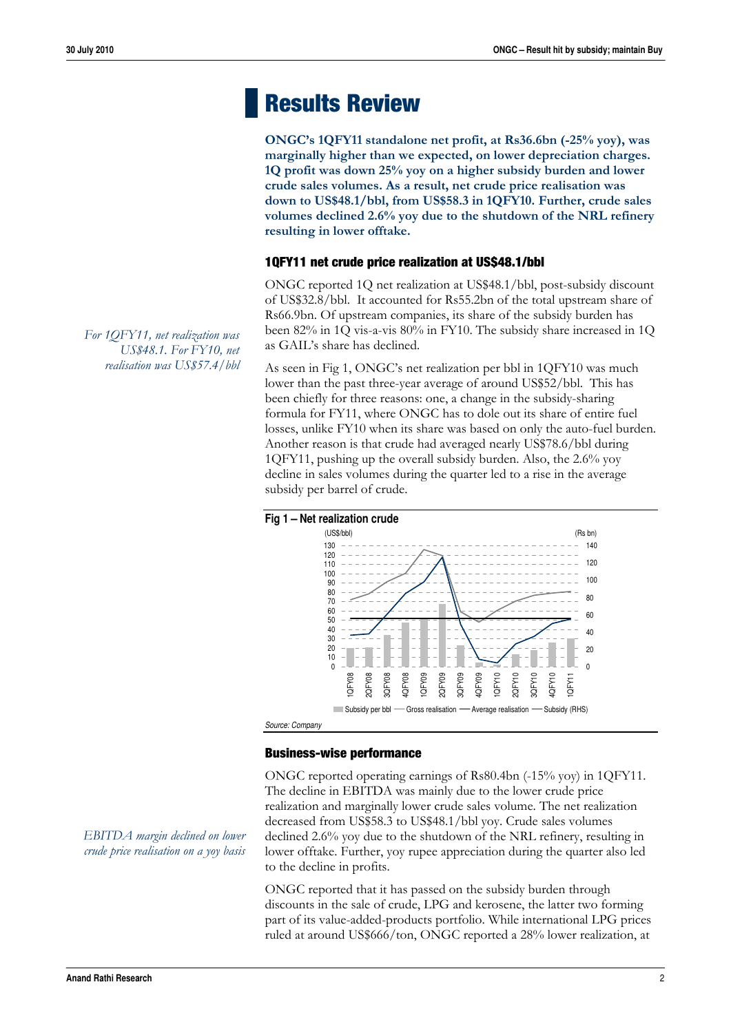# **Results Review**

**ONGC's 1QFY11 standalone net profit, at Rs36.6bn (-25% yoy), was marginally higher than we expected, on lower depreciation charges. 1Q profit was down 25% yoy on a higher subsidy burden and lower crude sales volumes. As a result, net crude price realisation was down to US\$48.1/bbl, from US\$58.3 in 1QFY10. Further, crude sales volumes declined 2.6% yoy due to the shutdown of the NRL refinery resulting in lower offtake.** 

#### **1QFY11 net crude price realization at US\$48.1/bbl**

ONGC reported 1Q net realization at US\$48.1/bbl, post-subsidy discount of US\$32.8/bbl. It accounted for Rs55.2bn of the total upstream share of Rs66.9bn. Of upstream companies, its share of the subsidy burden has been 82% in 1Q vis-a-vis 80% in FY10. The subsidy share increased in 1Q as GAIL's share has declined.

As seen in Fig 1, ONGC's net realization per bbl in 1QFY10 was much lower than the past three-year average of around US\$52/bbl. This has been chiefly for three reasons: one, a change in the subsidy-sharing formula for FY11, where ONGC has to dole out its share of entire fuel losses, unlike FY10 when its share was based on only the auto-fuel burden. Another reason is that crude had averaged nearly US\$78.6/bbl during 1QFY11, pushing up the overall subsidy burden. Also, the 2.6% yoy decline in sales volumes during the quarter led to a rise in the average subsidy per barrel of crude.



#### **Business-wise performance**

ONGC reported operating earnings of Rs80.4bn (-15% yoy) in 1QFY11. The decline in EBITDA was mainly due to the lower crude price realization and marginally lower crude sales volume. The net realization decreased from US\$58.3 to US\$48.1/bbl yoy. Crude sales volumes declined 2.6% yoy due to the shutdown of the NRL refinery, resulting in lower offtake. Further, yoy rupee appreciation during the quarter also led to the decline in profits.

ONGC reported that it has passed on the subsidy burden through discounts in the sale of crude, LPG and kerosene, the latter two forming part of its value-added-products portfolio. While international LPG prices ruled at around US\$666/ton, ONGC reported a 28% lower realization, at

*For 1QFY11, net realization was US\$48.1. For FY10, net realisation was US\$57.4/bbl* 

*EBITDA margin declined on lower crude price realisation on a yoy basis*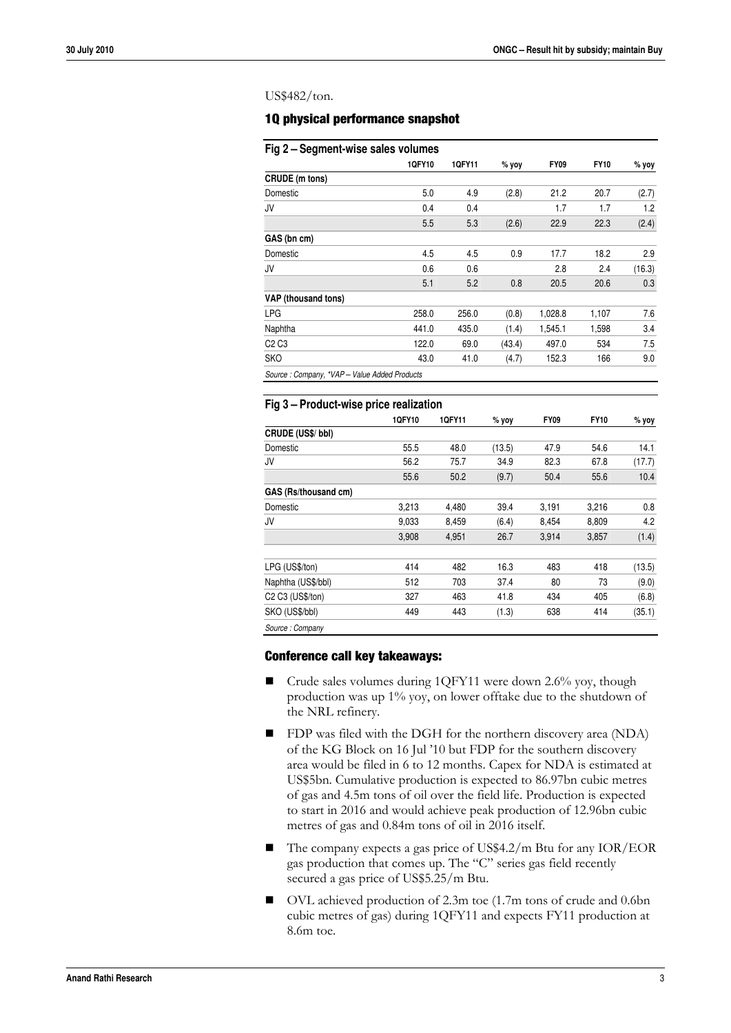#### US\$482/ton.

#### **1Q physical performance snapshot**

| Fig 2 – Segment-wise sales volumes           |        |        |        |             |             |         |
|----------------------------------------------|--------|--------|--------|-------------|-------------|---------|
|                                              | 1QFY10 | 1QFY11 | % yoy  | <b>FY09</b> | <b>FY10</b> | $%$ yoy |
| CRUDE (m tons)                               |        |        |        |             |             |         |
| Domestic                                     | 5.0    | 4.9    | (2.8)  | 21.2        | 20.7        | (2.7)   |
| JV                                           | 0.4    | 0.4    |        | 1.7         | 1.7         | 1.2     |
|                                              | 5.5    | 5.3    | (2.6)  | 22.9        | 22.3        | (2.4)   |
| GAS (bn cm)                                  |        |        |        |             |             |         |
| Domestic                                     | 4.5    | 4.5    | 0.9    | 17.7        | 18.2        | 2.9     |
| JV                                           | 0.6    | 0.6    |        | 2.8         | 2.4         | (16.3)  |
|                                              | 5.1    | 5.2    | 0.8    | 20.5        | 20.6        | 0.3     |
| VAP (thousand tons)                          |        |        |        |             |             |         |
| LPG                                          | 258.0  | 256.0  | (0.8)  | 1,028.8     | 1,107       | 7.6     |
| Naphtha                                      | 441.0  | 435.0  | (1.4)  | 1,545.1     | 1,598       | 3.4     |
| C <sub>2</sub> C <sub>3</sub>                | 122.0  | 69.0   | (43.4) | 497.0       | 534         | 7.5     |
| <b>SKO</b>                                   | 43.0   | 41.0   | (4.7)  | 152.3       | 166         | 9.0     |
| Source: Company, *VAP - Value Added Products |        |        |        |             |             |         |

| Fig 3 – Product-wise price realization   |        |        |        |             |             |        |
|------------------------------------------|--------|--------|--------|-------------|-------------|--------|
|                                          | 1QFY10 | 1QFY11 | % yoy  | <b>FY09</b> | <b>FY10</b> | % yoy  |
| CRUDE (US\$/ bbl)                        |        |        |        |             |             |        |
| Domestic                                 | 55.5   | 48.0   | (13.5) | 47.9        | 54.6        | 14.1   |
| JV                                       | 56.2   | 75.7   | 34.9   | 82.3        | 67.8        | (17.7) |
|                                          | 55.6   | 50.2   | (9.7)  | 50.4        | 55.6        | 10.4   |
| GAS (Rs/thousand cm)                     |        |        |        |             |             |        |
| Domestic                                 | 3,213  | 4,480  | 39.4   | 3,191       | 3,216       | 0.8    |
| JV                                       | 9.033  | 8.459  | (6.4)  | 8.454       | 8,809       | 4.2    |
|                                          | 3,908  | 4,951  | 26.7   | 3,914       | 3,857       | (1.4)  |
| LPG (US\$/ton)                           | 414    | 482    | 16.3   | 483         | 418         | (13.5) |
| Naphtha (US\$/bbl)                       | 512    | 703    | 37.4   | 80          | 73          | (9.0)  |
| C <sub>2</sub> C <sub>3</sub> (US\$/ton) | 327    | 463    | 41.8   | 434         | 405         | (6.8)  |
| SKO (US\$/bbl)                           | 449    | 443    | (1.3)  | 638         | 414         | (35.1) |
| Source: Company                          |        |        |        |             |             |        |

#### **Conference call key takeaways:**

- Crude sales volumes during 1QFY11 were down 2.6% yoy, though production was up 1% yoy, on lower offtake due to the shutdown of the NRL refinery.
- **FDP** was filed with the DGH for the northern discovery area (NDA) of the KG Block on 16 Jul '10 but FDP for the southern discovery area would be filed in 6 to 12 months. Capex for NDA is estimated at US\$5bn. Cumulative production is expected to 86.97bn cubic metres of gas and 4.5m tons of oil over the field life. Production is expected to start in 2016 and would achieve peak production of 12.96bn cubic metres of gas and 0.84m tons of oil in 2016 itself.
- The company expects a gas price of US\$4.2/m Btu for any IOR/EOR gas production that comes up. The "C" series gas field recently secured a gas price of US\$5.25/m Btu.
- OVL achieved production of 2.3m toe (1.7m tons of crude and 0.6bn cubic metres of gas) during 1QFY11 and expects FY11 production at 8.6m toe.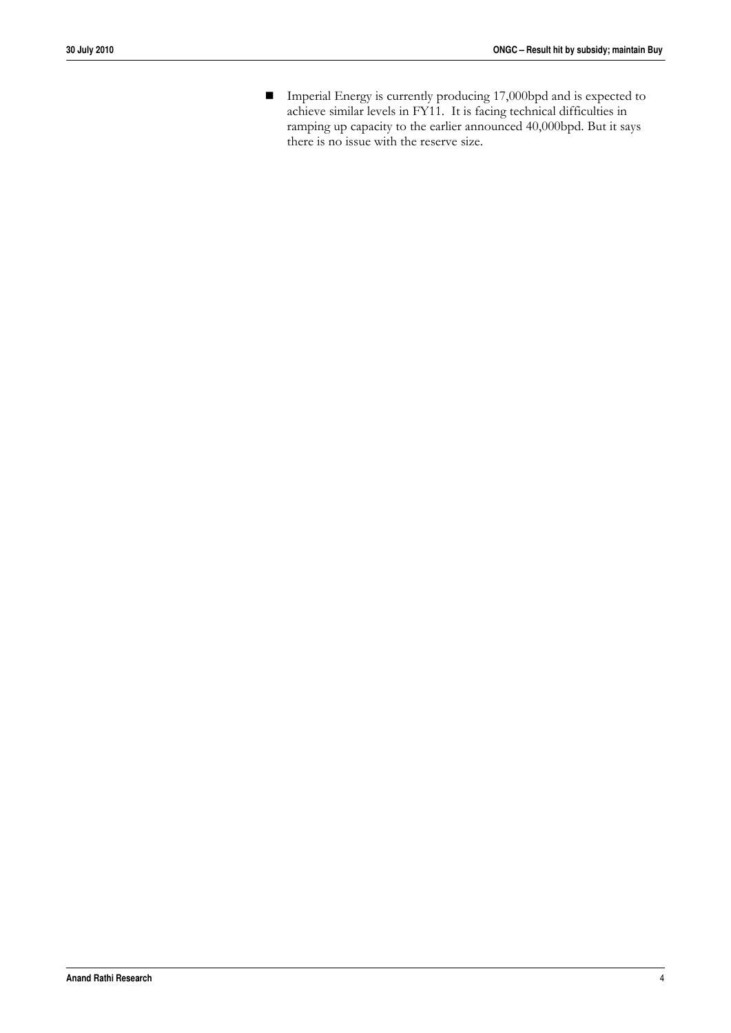Imperial Energy is currently producing 17,000bpd and is expected to achieve similar levels in FY11. It is facing technical difficulties in ramping up capacity to the earlier announced 40,000bpd. But it says there is no issue with the reserve size.